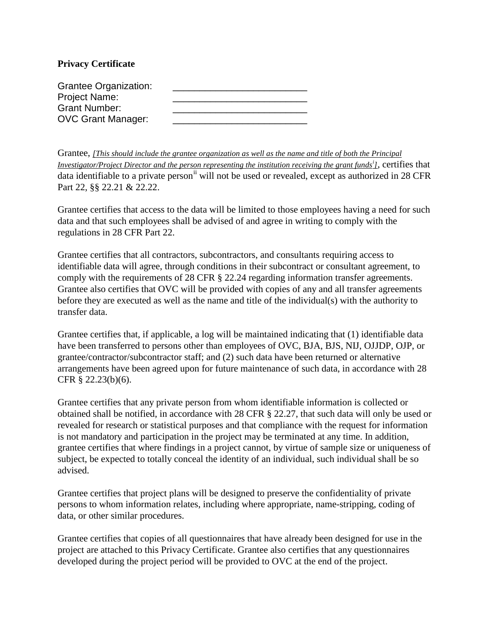## **Privacy Certificate**

| <b>Grantee Organization:</b> |  |
|------------------------------|--|
| <b>Project Name:</b>         |  |
| <b>Grant Number:</b>         |  |
| <b>OVC Grant Manager:</b>    |  |

Grantee, *[This should include the grantee organization as well as the name and title of both the Principal Investigator/Project Director and the person representing the institution receiving the grant funds[i](#page-1-0) ]*, certifies that data identifiable to a private person<sup>[ii](#page-1-1)</sup> will not be used or revealed, except as authorized in 28 CFR Part 22, §§ 22.21 & 22.22.

Grantee certifies that access to the data will be limited to those employees having a need for such data and that such employees shall be advised of and agree in writing to comply with the regulations in 28 CFR Part 22.

Grantee certifies that all contractors, subcontractors, and consultants requiring access to identifiable data will agree, through conditions in their subcontract or consultant agreement, to comply with the requirements of 28 CFR § 22.24 regarding information transfer agreements. Grantee also certifies that OVC will be provided with copies of any and all transfer agreements before they are executed as well as the name and title of the individual(s) with the authority to transfer data.

Grantee certifies that, if applicable, a log will be maintained indicating that (1) identifiable data have been transferred to persons other than employees of OVC, BJA, BJS, NIJ, OJJDP, OJP, or grantee/contractor/subcontractor staff; and (2) such data have been returned or alternative arrangements have been agreed upon for future maintenance of such data, in accordance with 28 CFR § 22.23(b)(6).

Grantee certifies that any private person from whom identifiable information is collected or obtained shall be notified, in accordance with 28 CFR § 22.27, that such data will only be used or revealed for research or statistical purposes and that compliance with the request for information is not mandatory and participation in the project may be terminated at any time. In addition, grantee certifies that where findings in a project cannot, by virtue of sample size or uniqueness of subject, be expected to totally conceal the identity of an individual, such individual shall be so advised.

Grantee certifies that project plans will be designed to preserve the confidentiality of private persons to whom information relates, including where appropriate, name-stripping, coding of data, or other similar procedures.

Grantee certifies that copies of all questionnaires that have already been designed for use in the project are attached to this Privacy Certificate. Grantee also certifies that any questionnaires developed during the project period will be provided to OVC at the end of the project.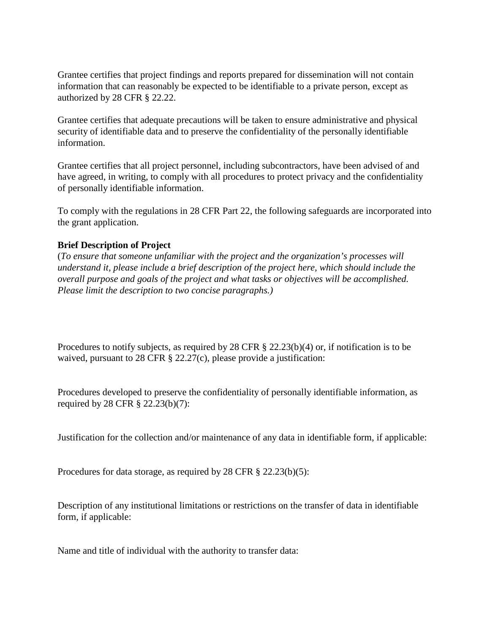Grantee certifies that project findings and reports prepared for dissemination will not contain information that can reasonably be expected to be identifiable to a private person, except as authorized by 28 CFR § 22.22.

<span id="page-1-1"></span>Grantee certifies that adequate precautions will be taken to ensure administrative and physical security of identifiable data and to preserve the confidentiality of the personally identifiable information.

Grantee certifies that all project personnel, including subcontractors, have been advised of and have agreed, in writing, to comply with all procedures to protect privacy and the confidentiality of personally identifiable information.

To comply with the regulations in 28 CFR Part 22, the following safeguards are incorporated into the grant application.

## **Brief Description of Project**

(*To ensure that someone unfamiliar with the project and the organization's processes will understand it, please include a brief description of the project here, which should include the overall purpose and goals of the project and what tasks or objectives will be accomplished. Please limit the description to two concise paragraphs.)* 

Procedures to notify subjects, as required by 28 CFR § 22.23(b)(4) or, if notification is to be waived, pursuant to 28 CFR § 22.27(c), please provide a justification:

Procedures developed to preserve the confidentiality of personally identifiable information, as required by 28 CFR § 22.23(b)(7):

Justification for the collection and/or maintenance of any data in identifiable form, if applicable:

Procedures for data storage, as required by 28 CFR § 22.23(b)(5):

Description of any institutional limitations or restrictions on the transfer of data in identifiable form, if applicable:

<span id="page-1-0"></span>Name and title of individual with the authority to transfer data: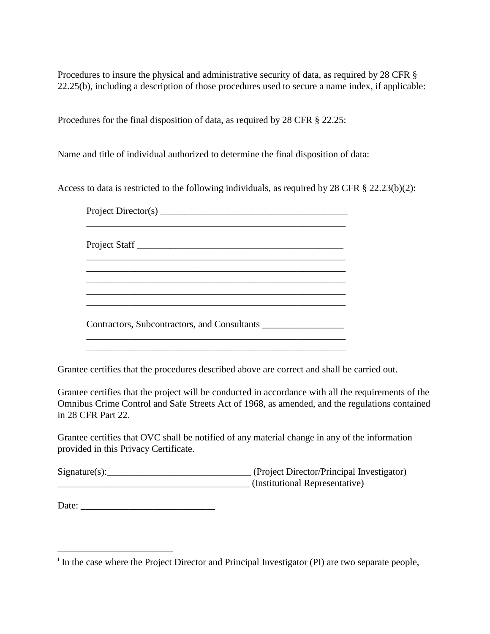Procedures to insure the physical and administrative security of data, as required by 28 CFR § 22.25(b), including a description of those procedures used to secure a name index, if applicable:

Procedures for the final disposition of data, as required by 28 CFR § 22.25:

Name and title of individual authorized to determine the final disposition of data:

Access to data is restricted to the following individuals, as required by 28 CFR § 22.23(b)(2):

Project Director(s) \_\_\_\_\_\_\_\_\_\_\_\_\_\_\_\_\_\_\_\_\_\_\_\_\_\_\_\_\_\_\_\_\_\_\_\_\_\_\_\_\_\_\_\_\_\_\_\_\_\_\_\_\_\_ Project Staff \_\_\_\_\_\_\_\_\_\_\_\_\_\_\_\_\_\_\_\_\_\_\_\_\_\_\_\_\_\_\_\_\_\_\_\_\_\_\_\_\_\_\_ \_\_\_\_\_\_\_\_\_\_\_\_\_\_\_\_\_\_\_\_\_\_\_\_\_\_\_\_\_\_\_\_\_\_\_\_\_\_\_\_\_\_\_\_\_\_\_\_\_\_\_\_\_\_ \_\_\_\_\_\_\_\_\_\_\_\_\_\_\_\_\_\_\_\_\_\_\_\_\_\_\_\_\_\_\_\_\_\_\_\_\_\_\_\_\_\_\_\_\_\_\_\_\_\_\_\_\_\_ \_\_\_\_\_\_\_\_\_\_\_\_\_\_\_\_\_\_\_\_\_\_\_\_\_\_\_\_\_\_\_\_\_\_\_\_\_\_\_\_\_\_\_\_\_\_\_\_\_\_\_\_\_\_ Contractors, Subcontractors, and Consultants \_\_\_\_\_\_\_\_\_\_\_\_\_\_\_\_\_ \_\_\_\_\_\_\_\_\_\_\_\_\_\_\_\_\_\_\_\_\_\_\_\_\_\_\_\_\_\_\_\_\_\_\_\_\_\_\_\_\_\_\_\_\_\_\_\_\_\_\_\_\_\_

Grantee certifies that the procedures described above are correct and shall be carried out.

\_\_\_\_\_\_\_\_\_\_\_\_\_\_\_\_\_\_\_\_\_\_\_\_\_\_\_\_\_\_\_\_\_\_\_\_\_\_\_\_\_\_\_\_\_\_\_\_\_\_\_\_\_\_

Grantee certifies that the project will be conducted in accordance with all the requirements of the Omnibus Crime Control and Safe Streets Act of 1968, as amended, and the regulations contained in 28 CFR Part 22.

Grantee certifies that OVC shall be notified of any material change in any of the information provided in this Privacy Certificate.

Signature(s): \_\_\_\_\_\_\_\_\_\_\_\_\_\_\_\_\_\_\_\_\_\_\_\_\_\_\_\_\_\_\_\_\_\_\_ (Project Director/Principal Investigator) \_\_\_\_\_\_\_\_\_\_\_\_\_\_\_\_\_\_\_\_\_\_\_\_\_\_\_\_\_\_\_\_\_\_\_\_\_\_\_\_ (Institutional Representative)

Date:

<sup>&</sup>lt;sup>i</sup> In the case where the Project Director and Principal Investigator (PI) are two separate people,